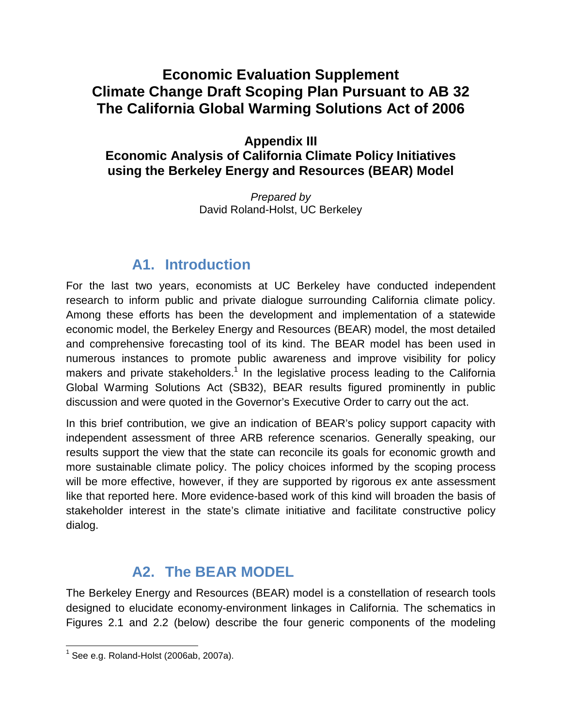# **Climate Change Draft Scoping Plan Pursuant to AB 32 The California Global Warming Solutions Act of 2006 Economic Evaluation Supplement**

# **Appendix III Economic Analysis of California Climate Policy Initiatives using the Berkeley Energy and Resources (BEAR) Model**

 Prepared by David Roland-Holst, UC Berkeley

# **A1. Introduction**

 For the last two years, economists at UC Berkeley have conducted independent research to inform public and private dialogue surrounding California climate policy. Among these efforts has been the development and implementation of a statewide economic model, the Berkeley Energy and Resources (BEAR) model, the most detailed and comprehensive forecasting tool of its kind. The BEAR model has been used in numerous instances to promote public awareness and improve visibility for policy makers and private stakeholders.<sup>1</sup> In the legislative process leading to the California Global Warming Solutions Act (SB32), BEAR results figured prominently in public discussion and were quoted in the Governor's Executive Order to carry out the act.

 In this brief contribution, we give an indication of BEAR's policy support capacity with independent assessment of three ARB reference scenarios. Generally speaking, our results support the view that the state can reconcile its goals for economic growth and more sustainable climate policy. The policy choices informed by the scoping process will be more effective, however, if they are supported by rigorous ex ante assessment like that reported here. More evidence-based work of this kind will broaden the basis of stakeholder interest in the state's climate initiative and facilitate constructive policy dialog.

# **A2. The BEAR MODEL**

 The Berkeley Energy and Resources (BEAR) model is a constellation of research tools designed to elucidate economy-environment linkages in California. The schematics in Figures 2.1 and 2.2 (below) describe the four generic components of the modeling

 $\overline{\phantom{a}}$  $^1$  See e.g. Roland-Holst (2006ab, 2007a).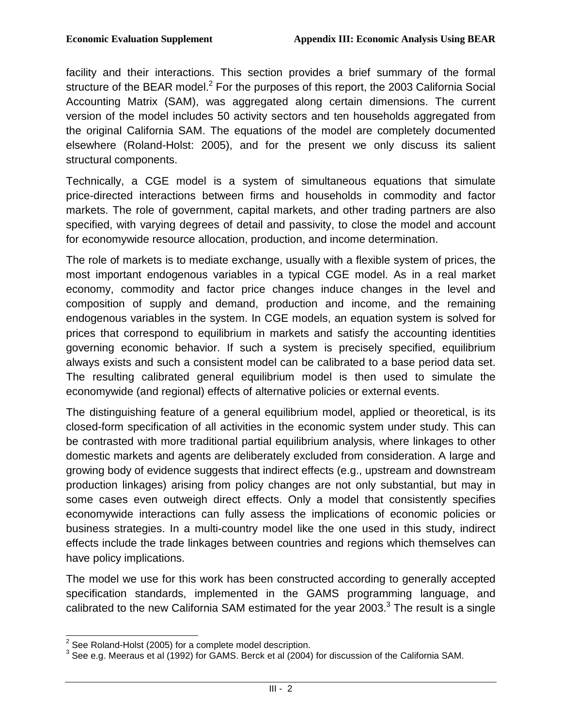facility and their interactions. This section provides a brief summary of the formal structure of the BEAR model.<sup>2</sup> For the purposes of this report, the 2003 California Social Accounting Matrix (SAM), was aggregated along certain dimensions. The current version of the model includes 50 activity sectors and ten households aggregated from the original California SAM. The equations of the model are completely documented elsewhere (Roland-Holst: 2005), and for the present we only discuss its salient structural components.

 Technically, a CGE model is a system of simultaneous equations that simulate price-directed interactions between firms and households in commodity and factor markets. The role of government, capital markets, and other trading partners are also specified, with varying degrees of detail and passivity, to close the model and account for economywide resource allocation, production, and income determination.

 The role of markets is to mediate exchange, usually with a flexible system of prices, the most important endogenous variables in a typical CGE model. As in a real market economy, commodity and factor price changes induce changes in the level and composition of supply and demand, production and income, and the remaining endogenous variables in the system. In CGE models, an equation system is solved for prices that correspond to equilibrium in markets and satisfy the accounting identities governing economic behavior. If such a system is precisely specified, equilibrium always exists and such a consistent model can be calibrated to a base period data set. The resulting calibrated general equilibrium model is then used to simulate the economywide (and regional) effects of alternative policies or external events.

 The distinguishing feature of a general equilibrium model, applied or theoretical, is its closed-form specification of all activities in the economic system under study. This can be contrasted with more traditional partial equilibrium analysis, where linkages to other domestic markets and agents are deliberately excluded from consideration. A large and growing body of evidence suggests that indirect effects (e.g., upstream and downstream production linkages) arising from policy changes are not only substantial, but may in some cases even outweigh direct effects. Only a model that consistently specifies economywide interactions can fully assess the implications of economic policies or business strategies. In a multi-country model like the one used in this study, indirect effects include the trade linkages between countries and regions which themselves can have policy implications.

 The model we use for this work has been constructed according to generally accepted specification standards, implemented in the GAMS programming language, and calibrated to the new California SAM estimated for the year 2003. $3$  The result is a single

 $\overline{\phantom{a}}$ 

 $^2$  See Roland-Holst (2005) for a complete model description.<br><sup>3</sup> See e.g. Meeraus et al (1992) for GAMS. Berck et al (2004) for discussion of the California SAM.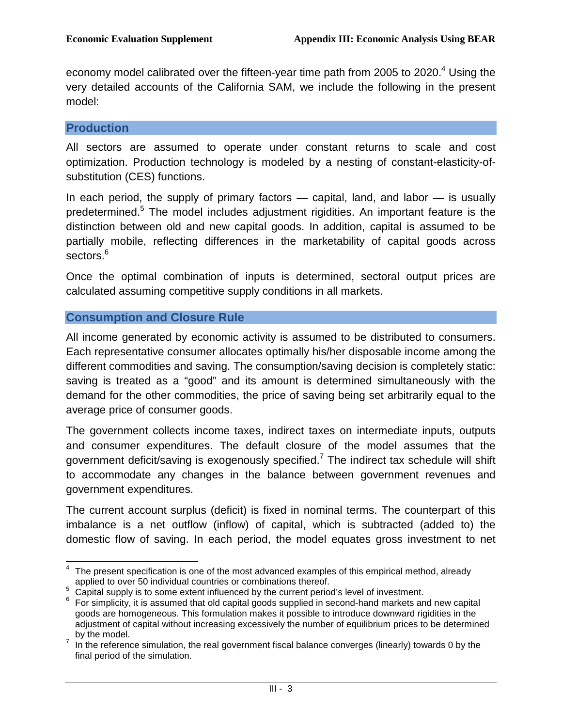economy model calibrated over the fifteen-year time path from 2005 to 2020.<sup>4</sup> Using the very detailed accounts of the California SAM, we include the following in the present model:

#### **Production**

 $\overline{a}$ 

 All sectors are assumed to operate under constant returns to scale and cost optimization. Production technology is modeled by a nesting of constant-elasticity-of-substitution (CES) functions.

 In each period, the supply of primary factors — capital, land, and labor — is usually predetermined.<sup>5</sup> The model includes adjustment rigidities. An important feature is the distinction between old and new capital goods. In addition, capital is assumed to be partially mobile, reflecting differences in the marketability of capital goods across sectors.<sup>6</sup>

 Once the optimal combination of inputs is determined, sectoral output prices are calculated assuming competitive supply conditions in all markets.

#### **Consumption and Closure Rule**

 All income generated by economic activity is assumed to be distributed to consumers. Each representative consumer allocates optimally his/her disposable income among the different commodities and saving. The consumption/saving decision is completely static: saving is treated as a "good" and its amount is determined simultaneously with the demand for the other commodities, the price of saving being set arbitrarily equal to the average price of consumer goods.

 The government collects income taxes, indirect taxes on intermediate inputs, outputs and consumer expenditures. The default closure of the model assumes that the government deficit/saving is exogenously specified.<sup>7</sup> The indirect tax schedule will shift to accommodate any changes in the balance between government revenues and government expenditures.

 The current account surplus (deficit) is fixed in nominal terms. The counterpart of this imbalance is a net outflow (inflow) of capital, which is subtracted (added to) the domestic flow of saving. In each period, the model equates gross investment to net

 $4$  The present specification is one of the most advanced examples of this empirical method, already applied to over 50 individual countries or combinations thereof.<br><sup>5</sup> Capital supply is to some extent influenced by the current period's level of investment.<br><sup>6</sup> For simplicity, it is assumed that old capital goods suppl

 $6$  For simplicity, it is assumed that old capital goods supplied in second-hand markets and new capital goods are homogeneous. This formulation makes it possible to introduce downward rigidities in the adjustment of capital without increasing excessively the number of equilibrium prices to be determined by the model.

by the model.<br><sup>7</sup> In the reference simulation, the real government fiscal balance converges (linearly) towards 0 by the final period of the simulation.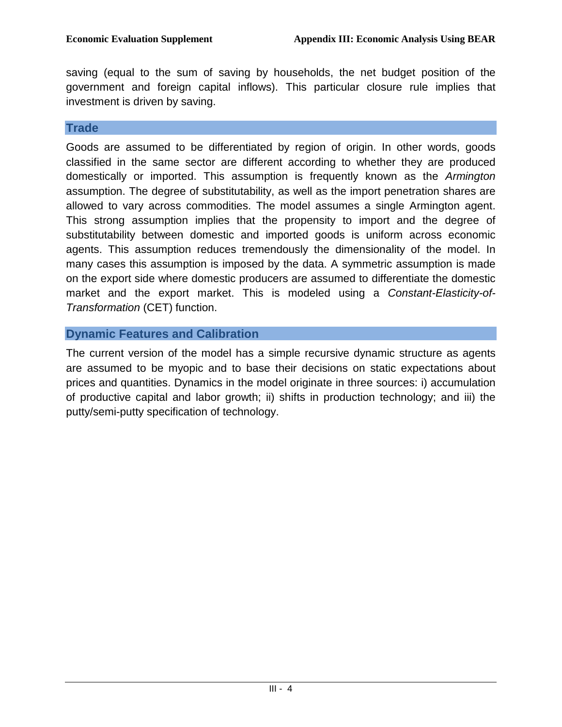saving (equal to the sum of saving by households, the net budget position of the government and foreign capital inflows). This particular closure rule implies that investment is driven by saving.

#### **Trade**

 Goods are assumed to be differentiated by region of origin. In other words, goods classified in the same sector are different according to whether they are produced domestically or imported. This assumption is frequently known as the Armington assumption. The degree of substitutability, as well as the import penetration shares are allowed to vary across commodities. The model assumes a single Armington agent. This strong assumption implies that the propensity to import and the degree of substitutability between domestic and imported goods is uniform across economic agents. This assumption reduces tremendously the dimensionality of the model. In many cases this assumption is imposed by the data. A symmetric assumption is made on the export side where domestic producers are assumed to differentiate the domestic market and the export market. This is modeled using a Constant-Elasticity-of-Transformation (CET) function.

# **Dynamic Features and Calibration**

 The current version of the model has a simple recursive dynamic structure as agents are assumed to be myopic and to base their decisions on static expectations about prices and quantities. Dynamics in the model originate in three sources: i) accumulation of productive capital and labor growth; ii) shifts in production technology; and iii) the putty/semi-putty specification of technology.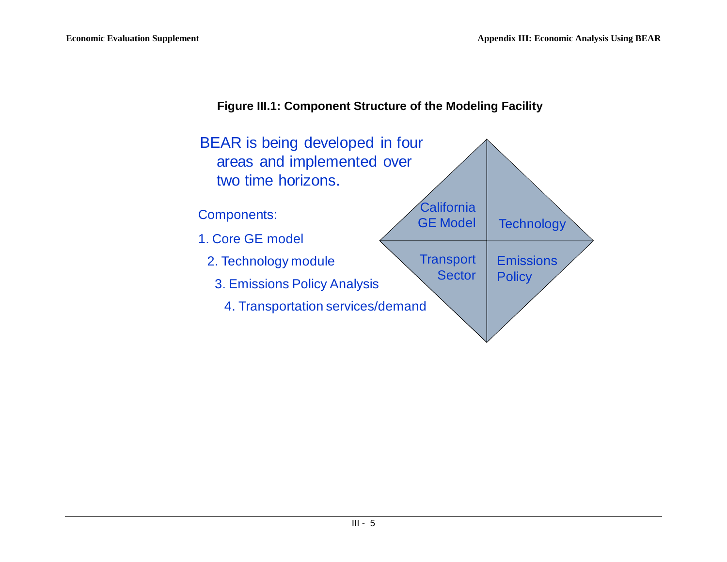# **Figure III.1: Component Structure of the Modeling Facility**

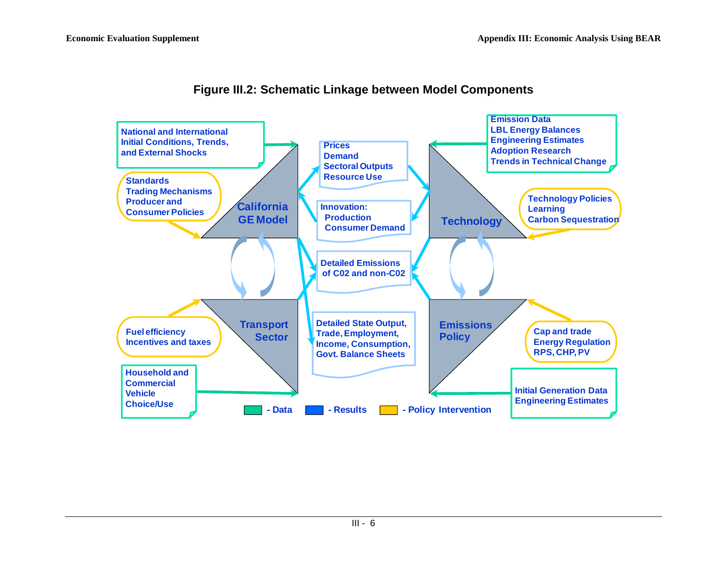

**Figure III.2: Schematic Linkage between Model Components**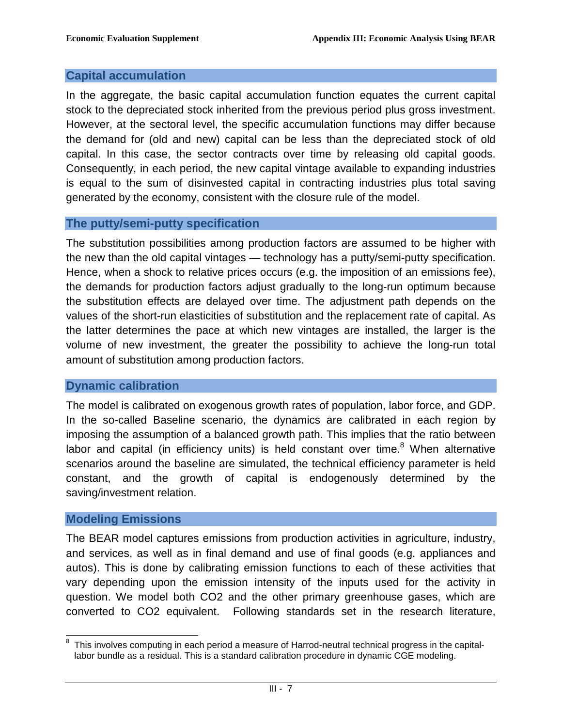#### **Capital accumulation**

 In the aggregate, the basic capital accumulation function equates the current capital stock to the depreciated stock inherited from the previous period plus gross investment. However, at the sectoral level, the specific accumulation functions may differ because the demand for (old and new) capital can be less than the depreciated stock of old capital. In this case, the sector contracts over time by releasing old capital goods. Consequently, in each period, the new capital vintage available to expanding industries is equal to the sum of disinvested capital in contracting industries plus total saving generated by the economy, consistent with the closure rule of the model.

#### **The putty/semi-putty specification**

 The substitution possibilities among production factors are assumed to be higher with the new than the old capital vintages — technology has a putty/semi-putty specification. Hence, when a shock to relative prices occurs (e.g. the imposition of an emissions fee), the demands for production factors adjust gradually to the long-run optimum because the substitution effects are delayed over time. The adjustment path depends on the values of the short-run elasticities of substitution and the replacement rate of capital. As the latter determines the pace at which new vintages are installed, the larger is the volume of new investment, the greater the possibility to achieve the long-run total amount of substitution among production factors.

#### **Dynamic calibration**

 The model is calibrated on exogenous growth rates of population, labor force, and GDP. In the so-called Baseline scenario, the dynamics are calibrated in each region by imposing the assumption of a balanced growth path. This implies that the ratio between labor and capital (in efficiency units) is held constant over time. $8$  When alternative scenarios around the baseline are simulated, the technical efficiency parameter is held constant, and the growth of capital is endogenously determined by the saving/investment relation.

## **Modeling Emissions**

 The BEAR model captures emissions from production activities in agriculture, industry, and services, as well as in final demand and use of final goods (e.g. appliances and autos). This is done by calibrating emission functions to each of these activities that vary depending upon the emission intensity of the inputs used for the activity in question. We model both CO2 and the other primary greenhouse gases, which are converted to CO2 equivalent. Following standards set in the research literature,

 $\overline{\phantom{a}}$  $8$  This involves computing in each period a measure of Harrod-neutral technical progress in the capital-labor bundle as a residual. This is a standard calibration procedure in dynamic CGE modeling.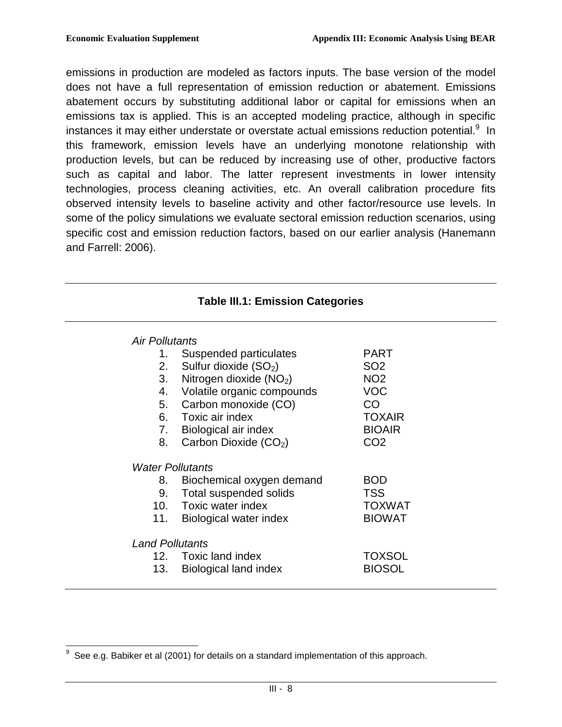emissions in production are modeled as factors inputs. The base version of the model does not have a full representation of emission reduction or abatement. Emissions abatement occurs by substituting additional labor or capital for emissions when an emissions tax is applied. This is an accepted modeling practice, although in specific instances it may either understate or overstate actual emissions reduction potential. $^9\,$  In this framework, emission levels have an underlying monotone relationship with production levels, but can be reduced by increasing use of other, productive factors such as capital and labor. The latter represent investments in lower intensity technologies, process cleaning activities, etc. An overall calibration procedure fits observed intensity levels to baseline activity and other factor/resource use levels. In some of the policy simulations we evaluate sectoral emission reduction scenarios, using specific cost and emission reduction factors, based on our earlier analysis (Hanemann and Farrell: 2006).

| Air Pollutants          |                                   |                 |  |
|-------------------------|-----------------------------------|-----------------|--|
| 1.                      | Suspended particulates            | <b>PART</b>     |  |
| 2.                      | Sulfur dioxide $(SO2)$            | SO <sub>2</sub> |  |
| 3.                      | Nitrogen dioxide $(NO2)$          | NO <sub>2</sub> |  |
|                         |                                   |                 |  |
| 4.                      | Volatile organic compounds        | <b>VOC</b>      |  |
|                         | 5. Carbon monoxide (CO)           | CO.             |  |
|                         | 6. Toxic air index                | <b>TOXAIR</b>   |  |
|                         | 7. Biological air index           | <b>BIOAIR</b>   |  |
| 8.                      | Carbon Dioxide (CO <sub>2</sub> ) | CO <sub>2</sub> |  |
|                         |                                   |                 |  |
| <b>Water Pollutants</b> |                                   |                 |  |
| 8.                      | Biochemical oxygen demand         | <b>BOD</b>      |  |
| 9.                      | Total suspended solids            | <b>TSS</b>      |  |
|                         | 10. Toxic water index             | <b>TOXWAT</b>   |  |
|                         |                                   |                 |  |
| 11.                     | Biological water index            | <b>BIOWAT</b>   |  |
|                         |                                   |                 |  |
| <b>Land Pollutants</b>  |                                   |                 |  |
|                         | 12. Toxic land index              | <b>TOXSOL</b>   |  |
| 13.                     | <b>Biological land index</b>      | <b>BIOSOL</b>   |  |
|                         |                                   |                 |  |

#### **Table III.1: Emission Categories**

 $\overline{\phantom{a}}$ See e.g. Babiker et al (2001) for details on a standard implementation of this approach.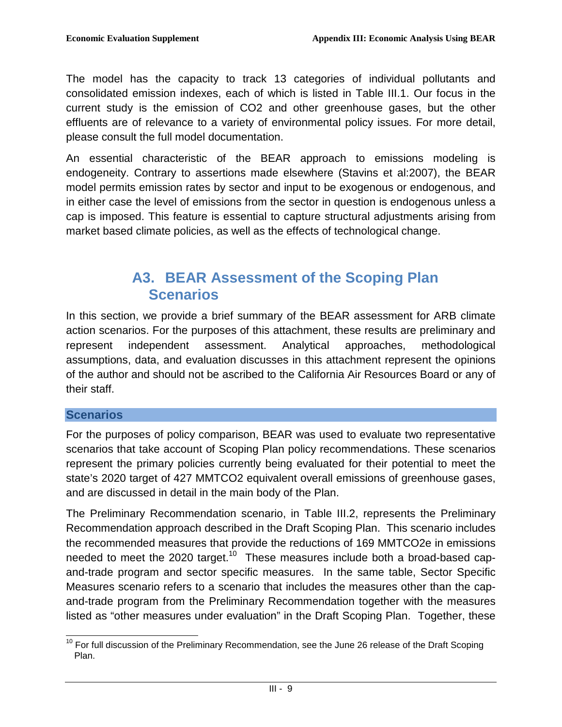The model has the capacity to track 13 categories of individual pollutants and consolidated emission indexes, each of which is listed in Table III.1. Our focus in the current study is the emission of CO2 and other greenhouse gases, but the other effluents are of relevance to a variety of environmental policy issues. For more detail, please consult the full model documentation.

 An essential characteristic of the BEAR approach to emissions modeling is endogeneity. Contrary to assertions made elsewhere (Stavins et al:2007), the BEAR model permits emission rates by sector and input to be exogenous or endogenous, and in either case the level of emissions from the sector in question is endogenous unless a cap is imposed. This feature is essential to capture structural adjustments arising from market based climate policies, as well as the effects of technological change.

# **A3. BEAR Assessment of the Scoping Plan Scenarios**

 In this section, we provide a brief summary of the BEAR assessment for ARB climate action scenarios. For the purposes of this attachment, these results are preliminary and assumptions, data, and evaluation discusses in this attachment represent the opinions of the author and should not be ascribed to the California Air Resources Board or any of their staff. represent independent assessment. Analytical approaches, methodological

## **Scenarios**

 For the purposes of policy comparison, BEAR was used to evaluate two representative scenarios that take account of Scoping Plan policy recommendations. These scenarios represent the primary policies currently being evaluated for their potential to meet the state's 2020 target of 427 MMTCO2 equivalent overall emissions of greenhouse gases, and are discussed in detail in the main body of the Plan.

 The Preliminary Recommendation scenario, in Table III.2, represents the Preliminary Recommendation approach described in the Draft Scoping Plan. This scenario includes the recommended measures that provide the reductions of 169 MMTCO2e in emissions needed to meet the 2020 target.<sup>10</sup> These measures include both a broad-based cap- and-trade program and sector specific measures. In the same table, Sector Specific Measures scenario refers to a scenario that includes the measures other than the cap- and-trade program from the Preliminary Recommendation together with the measures listed as "other measures under evaluation" in the Draft Scoping Plan. Together, these

 $\overline{\phantom{a}}$  $10$  For full discussion of the Preliminary Recommendation, see the June 26 release of the Draft Scoping Plan.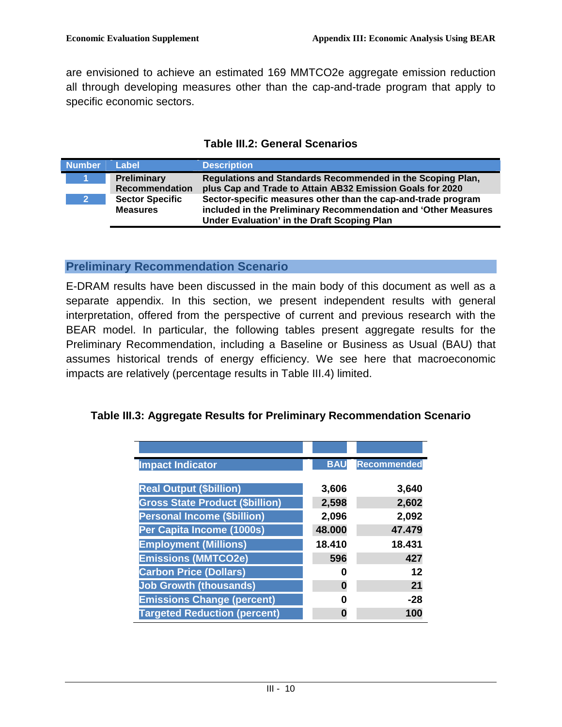are envisioned to achieve an estimated 169 MMTCO2e aggregate emission reduction all through developing measures other than the cap-and-trade program that apply to specific economic sectors.

### **Table III.2: General Scenarios**

| <b>Number</b> | Label                                     | <b>Description</b>                                                                                                                                                             |
|---------------|-------------------------------------------|--------------------------------------------------------------------------------------------------------------------------------------------------------------------------------|
|               | <b>Preliminary</b>                        | Regulations and Standards Recommended in the Scoping Plan,                                                                                                                     |
|               | <b>Recommendation</b>                     | plus Cap and Trade to Attain AB32 Emission Goals for 2020                                                                                                                      |
| l2 i          | <b>Sector Specific</b><br><b>Measures</b> | Sector-specific measures other than the cap-and-trade program<br>included in the Preliminary Recommendation and 'Other Measures<br>Under Evaluation' in the Draft Scoping Plan |

### **Preliminary Recommendation Scenario**

 E-DRAM results have been discussed in the main body of this document as well as a separate appendix. In this section, we present independent results with general interpretation, offered from the perspective of current and previous research with the BEAR model. In particular, the following tables present aggregate results for the Preliminary Recommendation, including a Baseline or Business as Usual (BAU) that assumes historical trends of energy efficiency. We see here that macroeconomic impacts are relatively (percentage results in Table III.4) limited.

| <b>Impact Indicator</b>                | <b>BAU</b> | <b>Recommended</b> |
|----------------------------------------|------------|--------------------|
|                                        |            |                    |
| <b>Real Output (\$billion)</b>         | 3,606      | 3,640              |
| <b>Gross State Product (\$billion)</b> | 2,598      | 2,602              |
| <b>Personal Income (\$billion)</b>     | 2,096      | 2,092              |
| Per Capita Income (1000s)              | 48.000     | 47.479             |
| <b>Employment (Millions)</b>           | 18.410     | 18.431             |
| <b>Emissions (MMTCO2e)</b>             | 596        | 427                |
| <b>Carbon Price (Dollars)</b>          | n          | 12                 |
| <b>Job Growth (thousands)</b>          | 0          | 21                 |
| <b>Emissions Change (percent)</b>      | ი          | $-28$              |
| <b>Targeted Reduction (percent)</b>    |            | 100                |

## **Table III.3: Aggregate Results for Preliminary Recommendation Scenario**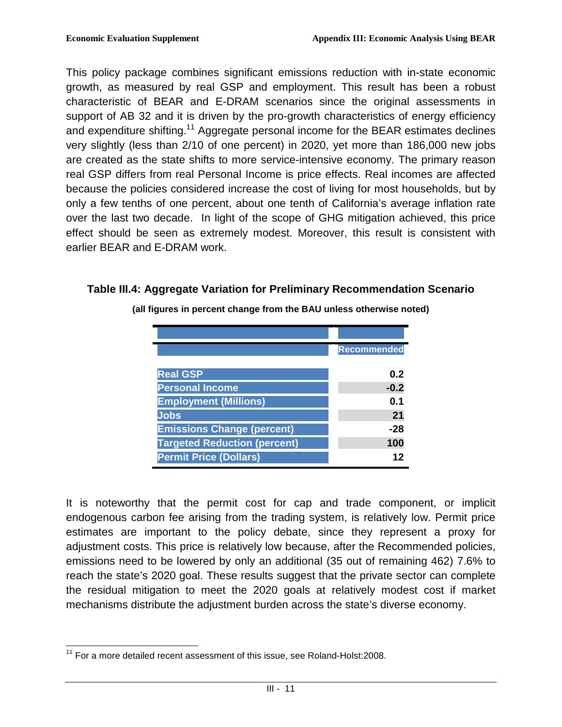This policy package combines significant emissions reduction with in-state economic growth, as measured by real GSP and employment. This result has been a robust characteristic of BEAR and E-DRAM scenarios since the original assessments in support of AB 32 and it is driven by the pro-growth characteristics of energy efficiency and expenditure [shifting.](https://shifting.11)<sup>11</sup> Aggregate personal income for the BEAR estimates declines very slightly (less than 2/10 of one percent) in 2020, yet more than 186,000 new jobs are created as the state shifts to more service-intensive economy. The primary reason real GSP differs from real Personal Income is price effects. Real incomes are affected because the policies considered increase the cost of living for most households, but by only a few tenths of one percent, about one tenth of California's average inflation rate over the last two decade. In light of the scope of GHG mitigation achieved, this price effect should be seen as extremely modest. Moreover, this result is consistent with earlier BEAR and E-DRAM work.

# **Table III.4: Aggregate Variation for Preliminary Recommendation Scenario**

|                                     | <b>Recommended</b> |
|-------------------------------------|--------------------|
|                                     |                    |
| <b>Real GSP</b>                     | 0.2                |
| <b>Personal Income</b>              | $-0.2$             |
| <b>Employment (Millions)</b>        | 0.1                |
| <b>Jobs</b>                         | 21                 |
| <b>Emissions Change (percent)</b>   | -28                |
| <b>Targeted Reduction (percent)</b> | 100                |
| <b>Permit Price (Dollars)</b>       |                    |

 **(all figures in percent change from the BAU unless otherwise noted)** 

 It is noteworthy that the permit cost for cap and trade component, or implicit endogenous carbon fee arising from the trading system, is relatively low. Permit price estimates are important to the policy debate, since they represent a proxy for adjustment costs. This price is relatively low because, after the Recommended policies, emissions need to be lowered by only an additional (35 out of remaining 462) 7.6% to reach the state's 2020 goal. These results suggest that the private sector can complete the residual mitigation to meet the 2020 goals at relatively modest cost if market mechanisms distribute the adjustment burden across the state's diverse economy.

 $\overline{\phantom{a}}$  $11$  For a more detailed recent assessment of this issue, see Roland-Holst:2008.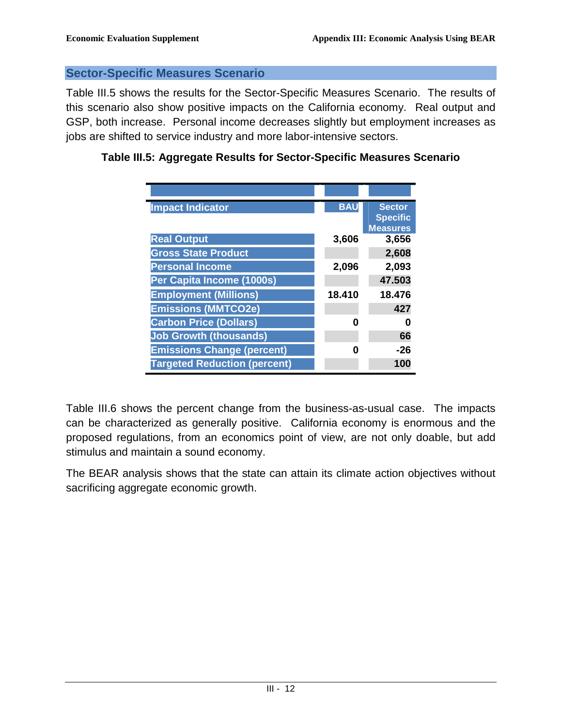### **Sector-Specific Measures Scenario**

Table III.5 shows the results for the Sector-Specific Measures Scenario. The results of this scenario also show positive impacts on the California economy. Real output and GSP, both increase. Personal income decreases slightly but employment increases as jobs are shifted to service industry and more labor-intensive sectors.

## **Table III.5: Aggregate Results for Sector-Specific Measures Scenario**

| <b>Impact Indicator</b>             | <b>BAU</b> | <b>Sector</b>   |
|-------------------------------------|------------|-----------------|
|                                     |            | <b>Specific</b> |
|                                     |            | <b>Measures</b> |
| <b>Real Output</b>                  | 3,606      | 3,656           |
| <b>Gross State Product</b>          |            | 2,608           |
| <b>Personal Income</b>              | 2,096      | 2,093           |
| Per Capita Income (1000s)           |            | 47.503          |
| <b>Employment (Millions)</b>        | 18.410     | 18.476          |
| <b>Emissions (MMTCO2e)</b>          |            | 427             |
| <b>Carbon Price (Dollars)</b>       | n          |                 |
| <b>Job Growth (thousands)</b>       |            | 66              |
| <b>Emissions Change (percent)</b>   | n          | -26             |
| <b>Targeted Reduction (percent)</b> |            | 100             |

 Table III.6 shows the percent change from the business-as-usual case. The impacts can be characterized as generally positive. California economy is enormous and the proposed regulations, from an economics point of view, are not only doable, but add stimulus and maintain a sound economy.

 The BEAR analysis shows that the state can attain its climate action objectives without sacrificing aggregate economic growth.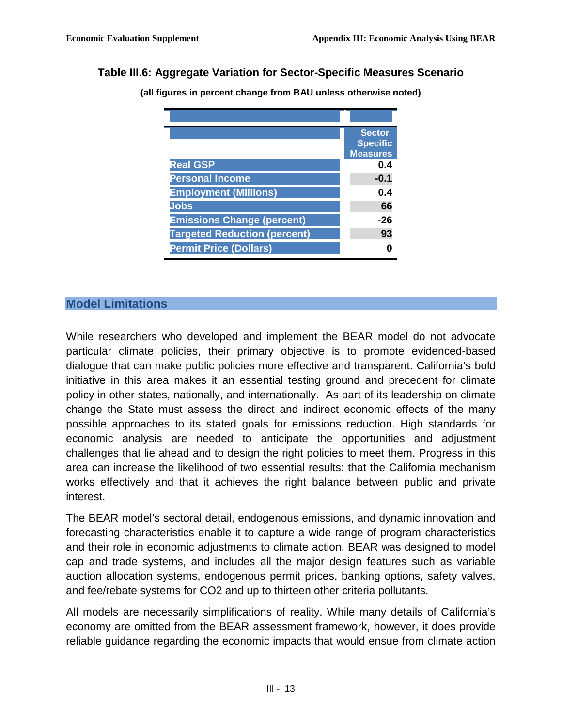#### **Table III.6: Aggregate Variation for Sector-Specific Measures Scenario**

|                                     | <b>Sector</b>   |
|-------------------------------------|-----------------|
|                                     | <b>Specific</b> |
|                                     | <b>Measures</b> |
| <b>Real GSP</b>                     | 0.4             |
| <b>Personal Income</b>              | $-0.1$          |
| <b>Employment (Millions)</b>        | 0.4             |
| <b>Jobs</b>                         | 66              |
| <b>Emissions Change (percent)</b>   | -26             |
| <b>Targeted Reduction (percent)</b> | 93              |
| <b>Permit Price (Dollars)</b>       |                 |

 **(all figures in percent change from BAU unless otherwise noted)** 

## **Model Limitations**

 While researchers who developed and implement the BEAR model do not advocate particular climate policies, their primary objective is to promote evidenced-based dialogue that can make public policies more effective and transparent. California's bold initiative in this area makes it an essential testing ground and precedent for climate policy in other states, nationally, and internationally. As part of its leadership on climate change the State must assess the direct and indirect economic effects of the many possible approaches to its stated goals for emissions reduction. High standards for economic analysis are needed to anticipate the opportunities and adjustment challenges that lie ahead and to design the right policies to meet them. Progress in this area can increase the likelihood of two essential results: that the California mechanism works effectively and that it achieves the right balance between public and private interest.

 The BEAR model's sectoral detail, endogenous emissions, and dynamic innovation and forecasting characteristics enable it to capture a wide range of program characteristics and their role in economic adjustments to climate action. BEAR was designed to model cap and trade systems, and includes all the major design features such as variable auction allocation systems, endogenous permit prices, banking options, safety valves, and fee/rebate systems for CO2 and up to thirteen other criteria pollutants.

 All models are necessarily simplifications of reality. While many details of California's economy are omitted from the BEAR assessment framework, however, it does provide reliable guidance regarding the economic impacts that would ensue from climate action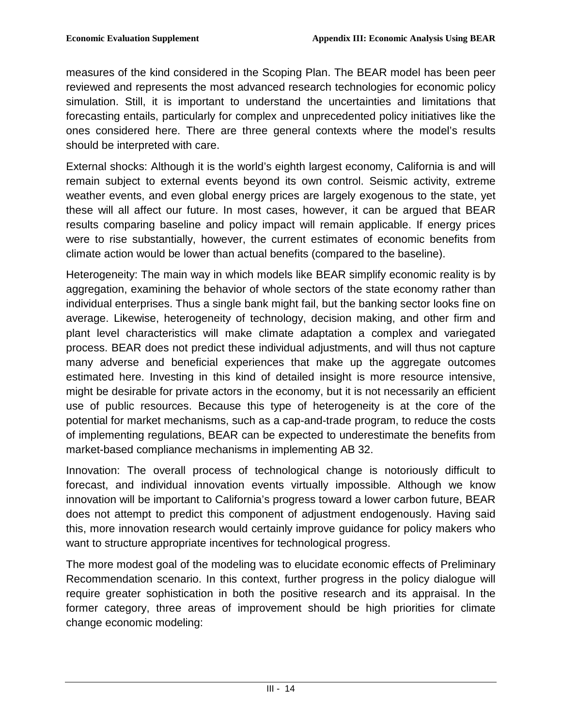measures of the kind considered in the Scoping Plan. The BEAR model has been peer reviewed and represents the most advanced research technologies for economic policy simulation. Still, it is important to understand the uncertainties and limitations that forecasting entails, particularly for complex and unprecedented policy initiatives like the ones considered here. There are three general contexts where the model's results should be interpreted with care.

 External shocks: Although it is the world's eighth largest economy, California is and will remain subject to external events beyond its own control. Seismic activity, extreme weather events, and even global energy prices are largely exogenous to the state, yet these will all affect our future. In most cases, however, it can be argued that BEAR results comparing baseline and policy impact will remain applicable. If energy prices were to rise substantially, however, the current estimates of economic benefits from climate action would be lower than actual benefits (compared to the baseline).

 Heterogeneity: The main way in which models like BEAR simplify economic reality is by aggregation, examining the behavior of whole sectors of the state economy rather than individual enterprises. Thus a single bank might fail, but the banking sector looks fine on average. Likewise, heterogeneity of technology, decision making, and other firm and plant level characteristics will make climate adaptation a complex and variegated process. BEAR does not predict these individual adjustments, and will thus not capture many adverse and beneficial experiences that make up the aggregate outcomes estimated here. Investing in this kind of detailed insight is more resource intensive, might be desirable for private actors in the economy, but it is not necessarily an efficient use of public resources. Because this type of heterogeneity is at the core of the potential for market mechanisms, such as a cap-and-trade program, to reduce the costs of implementing regulations, BEAR can be expected to underestimate the benefits from market-based compliance mechanisms in implementing AB 32.

 Innovation: The overall process of technological change is notoriously difficult to forecast, and individual innovation events virtually impossible. Although we know innovation will be important to California's progress toward a lower carbon future, BEAR does not attempt to predict this component of adjustment endogenously. Having said this, more innovation research would certainly improve guidance for policy makers who want to structure appropriate incentives for technological progress.

 The more modest goal of the modeling was to elucidate economic effects of Preliminary Recommendation scenario. In this context, further progress in the policy dialogue will require greater sophistication in both the positive research and its appraisal. In the former category, three areas of improvement should be high priorities for climate change economic modeling: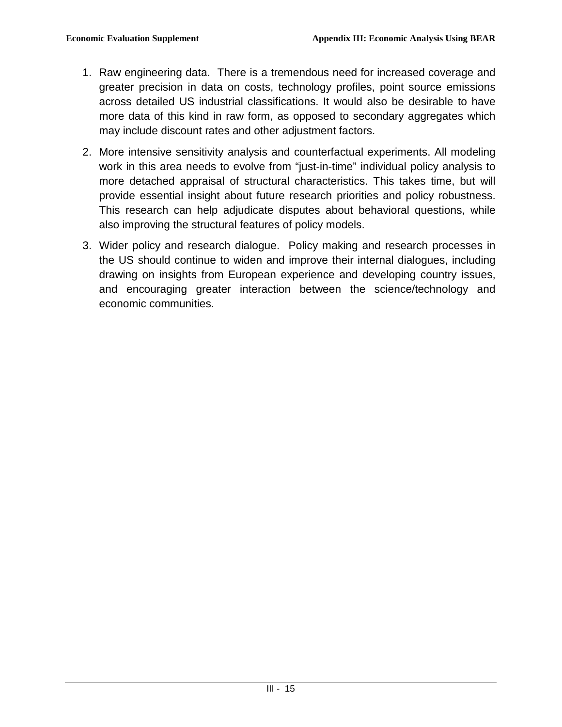- 1. Raw engineering data. There is a tremendous need for increased coverage and greater precision in data on costs, technology profiles, point source emissions across detailed US industrial classifications. It would also be desirable to have more data of this kind in raw form, as opposed to secondary aggregates which may include discount rates and other adjustment factors.
- 2. More intensive sensitivity analysis and counterfactual experiments. All modeling work in this area needs to evolve from "just-in-time" individual policy analysis to more detached appraisal of structural characteristics. This takes time, but will provide essential insight about future research priorities and policy robustness. This research can help adjudicate disputes about behavioral questions, while also improving the structural features of policy models.
- 3. Wider policy and research dialogue. Policy making and research processes in the US should continue to widen and improve their internal dialogues, including drawing on insights from European experience and developing country issues, and encouraging greater interaction between the science/technology and economic communities.